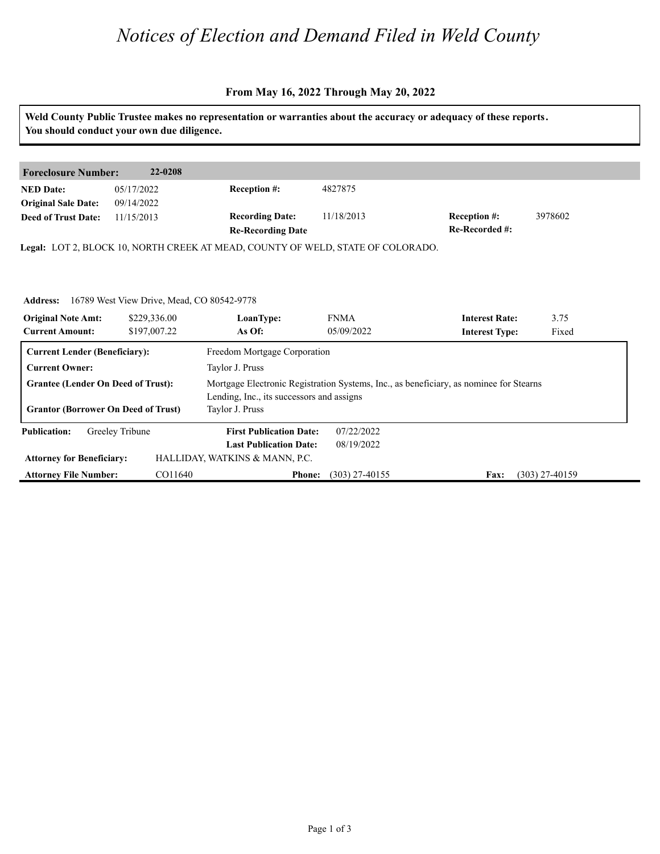# *Notices of Election and Demand Filed in Weld County*

### **From May 16, 2022 Through May 20, 2022**

|                                                     | You should conduct your own due diligence. | Weld County Public Trustee makes no representation or warranties about the accuracy or adequacy of these reports. |                           |                                                |                  |  |
|-----------------------------------------------------|--------------------------------------------|-------------------------------------------------------------------------------------------------------------------|---------------------------|------------------------------------------------|------------------|--|
|                                                     |                                            |                                                                                                                   |                           |                                                |                  |  |
| <b>Foreclosure Number:</b>                          | 22-0208                                    |                                                                                                                   |                           |                                                |                  |  |
| <b>NED</b> Date:<br><b>Original Sale Date:</b>      | 05/17/2022<br>09/14/2022                   | Reception #:                                                                                                      | 4827875                   |                                                |                  |  |
| <b>Deed of Trust Date:</b>                          | 11/15/2013                                 | <b>Recording Date:</b><br><b>Re-Recording Date</b>                                                                | 11/18/2013                | <b>Reception #:</b><br>Re-Recorded #:          | 3978602          |  |
|                                                     |                                            | Legal: LOT 2, BLOCK 10, NORTH CREEK AT MEAD, COUNTY OF WELD, STATE OF COLORADO.                                   |                           |                                                |                  |  |
|                                                     |                                            |                                                                                                                   |                           |                                                |                  |  |
|                                                     |                                            |                                                                                                                   |                           |                                                |                  |  |
| <b>Address:</b>                                     | 16789 West View Drive, Mead, CO 80542-9778 |                                                                                                                   |                           |                                                |                  |  |
| <b>Original Note Amt:</b><br><b>Current Amount:</b> | \$229,336.00<br>\$197,007.22               | LoanType:<br>As Of:                                                                                               | <b>FNMA</b><br>05/09/2022 | <b>Interest Rate:</b><br><b>Interest Type:</b> | 3.75<br>Fixed    |  |
| <b>Current Lender (Beneficiary):</b>                |                                            | Freedom Mortgage Corporation                                                                                      |                           |                                                |                  |  |
| <b>Current Owner:</b>                               |                                            | Taylor J. Pruss                                                                                                   |                           |                                                |                  |  |
| <b>Grantee (Lender On Deed of Trust):</b>           |                                            | Mortgage Electronic Registration Systems, Inc., as beneficiary, as nominee for Stearns                            |                           |                                                |                  |  |
|                                                     |                                            | Lending, Inc., its successors and assigns                                                                         |                           |                                                |                  |  |
| <b>Grantor (Borrower On Deed of Trust)</b>          |                                            | Taylor J. Pruss                                                                                                   |                           |                                                |                  |  |
| <b>Publication:</b>                                 | Greeley Tribune                            | <b>First Publication Date:</b>                                                                                    | 07/22/2022                |                                                |                  |  |
|                                                     |                                            | <b>Last Publication Date:</b>                                                                                     | 08/19/2022                |                                                |                  |  |
| <b>Attorney for Beneficiary:</b>                    |                                            | HALLIDAY, WATKINS & MANN, P.C.                                                                                    |                           |                                                |                  |  |
| <b>Attorney File Number:</b>                        | CO11640                                    | <b>Phone:</b>                                                                                                     | $(303)$ 27-40155          | Fax:                                           | $(303)$ 27-40159 |  |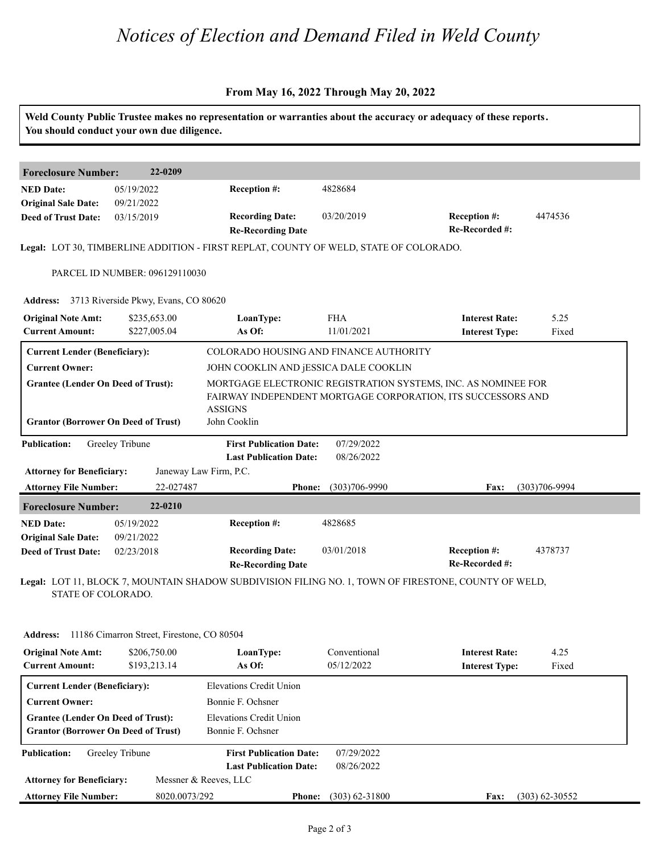## *Notices of Election and Demand Filed in Weld County*

#### **From May 16, 2022 Through May 20, 2022**

**Weld County Public Trustee makes no representation or warranties about the accuracy or adequacy of these reports. You should conduct your own due diligence. Foreclosure Number: 22-0209 NED Date: Re-Recorded #: Reception #:** 4474536 4474536 **Re-Recording Date Recording Date: Reception #: Deed of Trust Date:**<br>**Deed of Trust Date: Legal:** LOT 30, TIMBERLINE ADDITION - FIRST REPLAT, COUNTY OF WELD, STATE OF COLORADO. 05/19/2022 09/21/2022 03/15/2019 4828684 PARCEL ID NUMBER: 096129110030 **Address: 3713 Riverside Pkwy, Evans, CO 80620<br><b>Original Note Amt: \$235,653.00 LoanType: Current Amount: \$227,005.04 As Of: IoanType:** FHA **Interest Rate:** 5.25<br> **As Of:** 11/01/2021 **Interest Type:** Fixed **LoanType:** \$235,653.00 \$227,005.04 **Interest Rate:** 11/01/2021 **Interest Type:** 5.25 Fixed **Current Lender (Beneficiary):** COLORADO HOUSING AND FINANCE AUTHORITY **Current Owner:** JOHN COOKLIN AND jESSICA DALE COOKLIN **Grantee (Lender On Deed of Trust):** MORTGAGE ELECTRONIC REGISTRATION SYSTEMS, INC. AS NOMINEE FOR FAIRWAY INDEPENDENT MORTGAGE CORPORATION, ITS SUCCESSORS AND ASSIGNS **Grantor (Borrower On Deed of Trust)** John Cooklin **Publication: Attorney for Beneficiary: Attorney File Number: Last Publication Date: Phone: Fax:** 22-027487 (303)706-9990 (303)706-9994 **First Publication Date:** Janeway Law Firm, P.C. 07/29/2022 08/26/2022 **Foreclosure Number: 22-0210 NED Date: Re-Recorded #:** 03/01/2018 **Reception #:** 4378737 **Re-Recording Date Recording Date: Reception #: Deed of Trust Date:**<br>**Deed of Trust Date: Legal:** LOT 11, BLOCK 7, MOUNTAIN SHADOW SUBDIVISION FILING NO. 1, TOWN OF FIRESTONE, COUNTY OF WELD, STATE OF COLORADO. 05/19/2022 09/21/2022 02/23/2018 4828685

| <b>Address:</b>                                     | 11186 Cimarron Street, Firestone, CO 80504 |                                |                            |                                                |                  |
|-----------------------------------------------------|--------------------------------------------|--------------------------------|----------------------------|------------------------------------------------|------------------|
| <b>Original Note Amt:</b><br><b>Current Amount:</b> | \$206,750.00<br>\$193,213.14               | LoanType:<br>As Of:            | Conventional<br>05/12/2022 | <b>Interest Rate:</b><br><b>Interest Type:</b> | 4.25<br>Fixed    |
| <b>Current Lender (Beneficiary):</b>                |                                            | Elevations Credit Union        |                            |                                                |                  |
| <b>Current Owner:</b>                               |                                            | Bonnie F. Ochsner              |                            |                                                |                  |
| <b>Grantee (Lender On Deed of Trust):</b>           |                                            | Elevations Credit Union        |                            |                                                |                  |
| <b>Grantor (Borrower On Deed of Trust)</b>          |                                            | Bonnie F. Ochsner              |                            |                                                |                  |
| <b>Publication:</b>                                 | Greeley Tribune                            | <b>First Publication Date:</b> | 07/29/2022                 |                                                |                  |
|                                                     |                                            | <b>Last Publication Date:</b>  | 08/26/2022                 |                                                |                  |
| <b>Attorney for Beneficiary:</b>                    |                                            | Messner & Reeves, LLC          |                            |                                                |                  |
| <b>Attorney File Number:</b>                        | 8020.0073/292                              | <b>Phone:</b>                  | $(303)$ 62-31800           | <b>Fax:</b>                                    | $(303)$ 62-30552 |